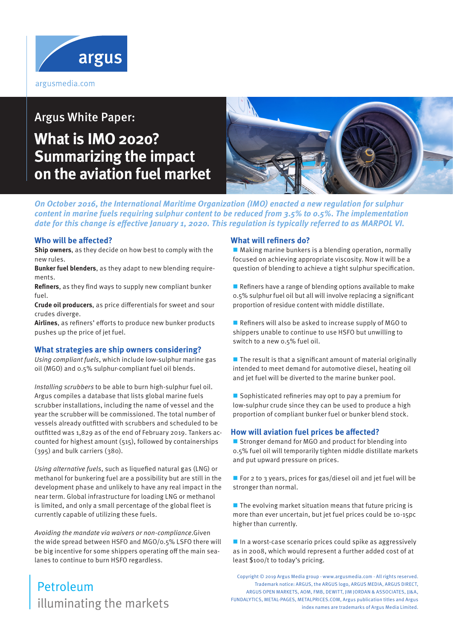

# Argus White Paper: **What is IMO 2020? Summarizing the impact on the aviation fuel market**



**On October 2016, the International Maritime Organization (IMO) enacted a new regulation for sulphur content in marine fuels requiring sulphur content to be reduced from 3.5% to 0.5%. The implementation date for this change is effective January 1, 2020. This regulation is typically referred to as MARPOL VI.**

### **Who will be affected?**

**Ship owners**, as they decide on how best to comply with the new rules.

**Bunker fuel blenders**, as they adapt to new blending requirements.

**Refiners**, as they find ways to supply new compliant bunker fuel.

**Crude oil producers**, as price differentials for sweet and sour crudes diverge.

**Airlines**, as refiners' efforts to produce new bunker products pushes up the price of jet fuel.

#### **What strategies are ship owners considering?**

Using compliant fuels, which include low-sulphur marine gas oil (MGO) and 0.5% sulphur-compliant fuel oil blends.

Installing scrubbers to be able to burn high-sulphur fuel oil. Argus compiles a database that lists global marine fuels scrubber installations, including the name of vessel and the year the scrubber will be commissioned. The total number of vessels already outfitted with scrubbers and scheduled to be outfitted was 1,829 as of the end of February 2019. Tankers accounted for highest amount (515), followed by containerships (395) and bulk carriers (380).

Using alternative fuels, such as liquefied natural gas (LNG) or methanol for bunkering fuel are a possibility but are still in the development phase and unlikely to have any real impact in the near term. Global infrastructure for loading LNG or methanol is limited, and only a small percentage of the global fleet is currently capable of utilizing these fuels.

Avoiding the mandate via waivers or non-compliance.Given the wide spread between HSFO and MGO/0.5% LSFO there will be big incentive for some shippers operating off the main sealanes to continue to burn HSFO regardless.

### **What will refiners do?**

 $\blacksquare$  Making marine bunkers is a blending operation, normally focused on achieving appropriate viscosity. Now it will be a question of blending to achieve a tight sulphur specification.

Refiners have a range of blending options available to make 0.5% sulphur fuel oil but all will involve replacing a significant proportion of residue content with middle distillate.

Refiners will also be asked to increase supply of MGO to shippers unable to continue to use HSFO but unwilling to switch to a new 0.5% fuel oil.

 $\blacksquare$  The result is that a significant amount of material originally intended to meet demand for automotive diesel, heating oil and jet fuel will be diverted to the marine bunker pool.

Sophisticated refineries may opt to pay a premium for low-sulphur crude since they can be used to produce a high proportion of compliant bunker fuel or bunker blend stock.

#### **How will aviation fuel prices be affected?**

■ Stronger demand for MGO and product for blending into 0.5% fuel oil will temporarily tighten middle distillate markets and put upward pressure on prices.

For 2 to 3 years, prices for gas/diesel oil and jet fuel will be stronger than normal.

 $\blacksquare$  The evolving market situation means that future pricing is more than ever uncertain, but jet fuel prices could be 10-15pc higher than currently.

 $\blacksquare$  In a worst-case scenario prices could spike as aggressively as in 2008, which would represent a further added cost of at least \$100/t to today's pricing.

Copyright © 2019 Argus Media group - www.argusmedia.com - All rights reserved. Trademark notice: ARGUS, the ARGUS logo, ARGUS MEDIA, ARGUS DIRECT, ARGUS OPEN MARKETS, AOM, FMB, DEWITT, JIM JORDAN & ASSOCIATES, JJ&A, FUNDALYTICS, METAL-PAGES, METALPRICES.COM, Argus publication titles and Argus index names are trademarks of Argus Media Limited.

## illuminating the markets Petroleum